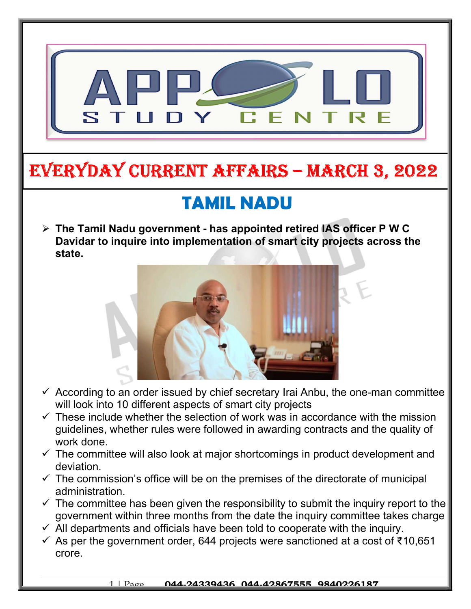

### EVERYDAY CURRENT AFFAIRS – MARCH 3, 2022

-

## TAMIL NADU

 $\triangleright$  The Tamil Nadu government - has appointed retired IAS officer P W C Davidar to inquire into implementation of smart city projects across the state.



- $\checkmark$  According to an order issued by chief secretary Irai Anbu, the one-man committee will look into 10 different aspects of smart city projects
- $\checkmark$  These include whether the selection of work was in accordance with the mission guidelines, whether rules were followed in awarding contracts and the quality of work done.
- $\checkmark$  The committee will also look at major shortcomings in product development and deviation.
- $\checkmark$  The commission's office will be on the premises of the directorate of municipal administration.
- $\checkmark$  The committee has been given the responsibility to submit the inquiry report to the government within three months from the date the inquiry committee takes charge
- $\checkmark$  All departments and officials have been told to cooperate with the inquiry.
- $\checkmark$  As per the government order, 644 projects were sanctioned at a cost of ₹10,651 crore.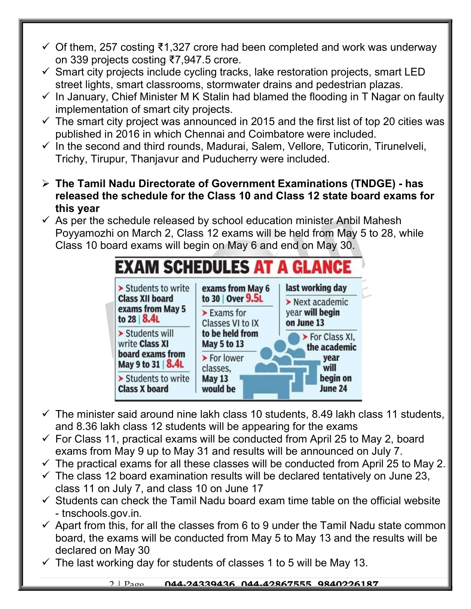- Of them, 257 costing ₹1,327 crore had been completed and work was underway on 339 projects costing ₹7,947.5 crore.
- $\checkmark$  Smart city projects include cycling tracks, lake restoration projects, smart LED street lights, smart classrooms, stormwater drains and pedestrian plazas.
- $\checkmark$  In January, Chief Minister M K Stalin had blamed the flooding in T Nagar on faulty implementation of smart city projects.
- $\checkmark$  The smart city project was announced in 2015 and the first list of top 20 cities was published in 2016 in which Chennai and Coimbatore were included.
- $\checkmark$  In the second and third rounds, Madurai, Salem, Vellore, Tuticorin, Tirunelveli, Trichy, Tirupur, Thanjavur and Puducherry were included.
- The Tamil Nadu Directorate of Government Examinations (TNDGE) has released the schedule for the Class 10 and Class 12 state board exams for this year
- $\checkmark$  As per the schedule released by school education minister Anbil Mahesh Poyyamozhi on March 2, Class 12 exams will be held from May 5 to 28, while Class 10 board exams will begin on May 6 and end on May 30.



- $\checkmark$  The minister said around nine lakh class 10 students, 8.49 lakh class 11 students, and 8.36 lakh class 12 students will be appearing for the exams
- $\checkmark$  For Class 11, practical exams will be conducted from April 25 to May 2, board exams from May 9 up to May 31 and results will be announced on July 7.
- $\checkmark$  The practical exams for all these classes will be conducted from April 25 to May 2.
- $\checkmark$  The class 12 board examination results will be declared tentatively on June 23, class 11 on July 7, and class 10 on June 17
- $\checkmark$  Students can check the Tamil Nadu board exam time table on the official website - tnschools.gov.in.
- $\checkmark$  Apart from this, for all the classes from 6 to 9 under the Tamil Nadu state common board, the exams will be conducted from May 5 to May 13 and the results will be declared on May 30
- $\checkmark$  The last working day for students of classes 1 to 5 will be May 13.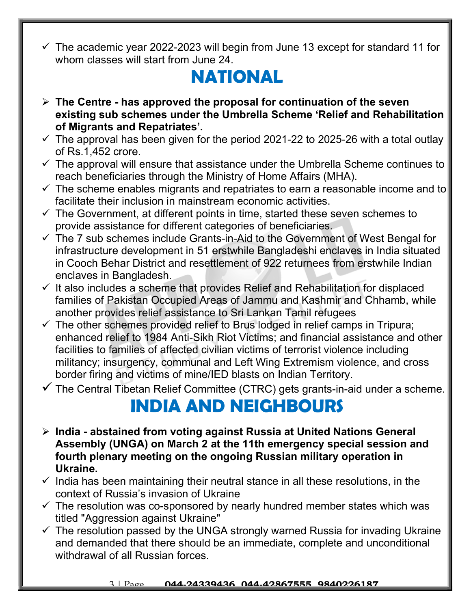$\checkmark$  The academic year 2022-2023 will begin from June 13 except for standard 11 for whom classes will start from June 24.

### NATIONAL

- $\triangleright$  The Centre has approved the proposal for continuation of the seven existing sub schemes under the Umbrella Scheme 'Relief and Rehabilitation of Migrants and Repatriates'.
- $\checkmark$  The approval has been given for the period 2021-22 to 2025-26 with a total outlay of Rs.1,452 crore.
- $\checkmark$  The approval will ensure that assistance under the Umbrella Scheme continues to reach beneficiaries through the Ministry of Home Affairs (MHA).
- $\checkmark$  The scheme enables migrants and repatriates to earn a reasonable income and to facilitate their inclusion in mainstream economic activities.
- $\checkmark$  The Government, at different points in time, started these seven schemes to provide assistance for different categories of beneficiaries.
- $\checkmark$  The 7 sub schemes include Grants-in-Aid to the Government of West Bengal for infrastructure development in 51 erstwhile Bangladeshi enclaves in India situated in Cooch Behar District and resettlement of 922 returnees from erstwhile Indian enclaves in Bangladesh.
- $\checkmark$  It also includes a scheme that provides Relief and Rehabilitation for displaced families of Pakistan Occupied Areas of Jammu and Kashmir and Chhamb, while another provides relief assistance to Sri Lankan Tamil refugees
- $\checkmark$  The other schemes provided relief to Brus lodged in relief camps in Tripura; enhanced relief to 1984 Anti-Sikh Riot Victims; and financial assistance and other facilities to families of affected civilian victims of terrorist violence including militancy; insurgency, communal and Left Wing Extremism violence, and cross border firing and victims of mine/IED blasts on Indian Territory.
- $\checkmark$  The Central Tibetan Relief Committee (CTRC) gets grants-in-aid under a scheme.

# INDIA AND NEIGHBOURS

- $\triangleright$  India abstained from voting against Russia at United Nations General Assembly (UNGA) on March 2 at the 11th emergency special session and fourth plenary meeting on the ongoing Russian military operation in Ukraine.
- $\checkmark$  India has been maintaining their neutral stance in all these resolutions, in the context of Russia's invasion of Ukraine
- $\checkmark$  The resolution was co-sponsored by nearly hundred member states which was titled "Aggression against Ukraine"
- $\checkmark$  The resolution passed by the UNGA strongly warned Russia for invading Ukraine and demanded that there should be an immediate, complete and unconditional withdrawal of all Russian forces.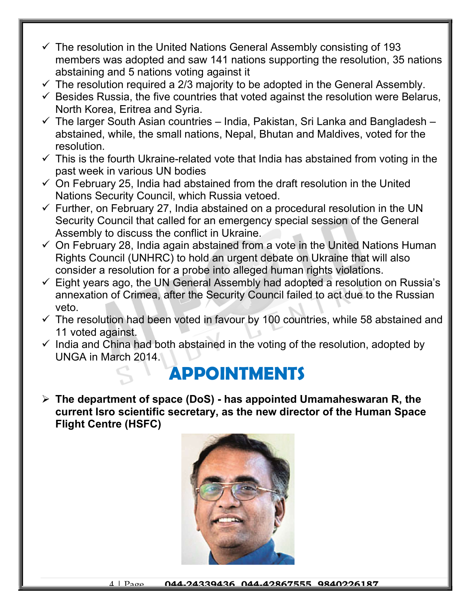- $\checkmark$  The resolution in the United Nations General Assembly consisting of 193 members was adopted and saw 141 nations supporting the resolution, 35 nations abstaining and 5 nations voting against it
- $\checkmark$  The resolution required a 2/3 majority to be adopted in the General Assembly.
- $\checkmark$  Besides Russia, the five countries that voted against the resolution were Belarus, North Korea, Eritrea and Syria.
- $\checkmark$  The larger South Asian countries India, Pakistan, Sri Lanka and Bangladesh abstained, while, the small nations, Nepal, Bhutan and Maldives, voted for the resolution.
- $\checkmark$  This is the fourth Ukraine-related vote that India has abstained from voting in the past week in various UN bodies
- $\checkmark$  On February 25, India had abstained from the draft resolution in the United Nations Security Council, which Russia vetoed.
- $\checkmark$  Further, on February 27, India abstained on a procedural resolution in the UN Security Council that called for an emergency special session of the General Assembly to discuss the conflict in Ukraine.
- $\checkmark$  On February 28, India again abstained from a vote in the United Nations Human Rights Council (UNHRC) to hold an urgent debate on Ukraine that will also consider a resolution for a probe into alleged human rights violations.
- $\checkmark$  Eight years ago, the UN General Assembly had adopted a resolution on Russia's annexation of Crimea, after the Security Council failed to act due to the Russian veto.
- $\checkmark$  The resolution had been voted in favour by 100 countries, while 58 abstained and 11 voted against.
- $\checkmark$  India and China had both abstained in the voting of the resolution, adopted by UNGA in March 2014.

#### APPOINTMENTS

 $\triangleright$  The department of space (DoS) - has appointed Umamaheswaran R, the current Isro scientific secretary, as the new director of the Human Space Flight Centre (HSFC)